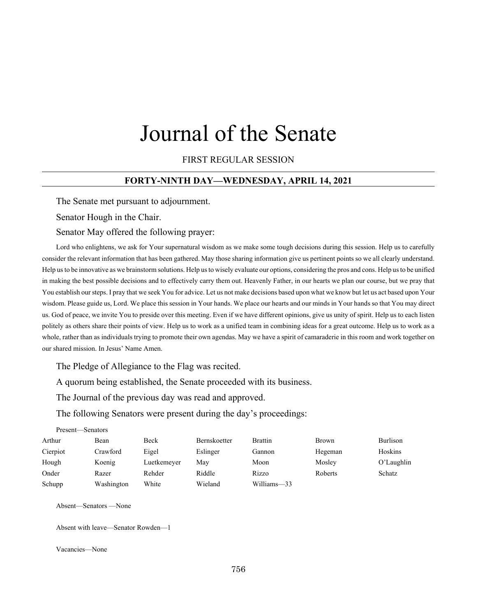# Journal of the Senate

### FIRST REGULAR SESSION

#### **FORTY-NINTH DAY—WEDNESDAY, APRIL 14, 2021**

The Senate met pursuant to adjournment.

Senator Hough in the Chair.

#### Senator May offered the following prayer:

Lord who enlightens, we ask for Your supernatural wisdom as we make some tough decisions during this session. Help us to carefully consider the relevant information that has been gathered. May those sharing information give us pertinent points so we all clearly understand. Help us to be innovative as we brainstorm solutions. Help us to wisely evaluate our options, considering the pros and cons. Help us to be unified in making the best possible decisions and to effectively carry them out. Heavenly Father, in our hearts we plan our course, but we pray that You establish our steps. I pray that we seek You for advice. Let us not make decisions based upon what we know but let us act based upon Your wisdom. Please guide us, Lord. We place this session in Your hands. We place our hearts and our minds in Your hands so that You may direct us. God of peace, we invite You to preside over this meeting. Even if we have different opinions, give us unity of spirit. Help us to each listen politely as others share their points of view. Help us to work as a unified team in combining ideas for a great outcome. Help us to work as a whole, rather than as individuals trying to promote their own agendas. May we have a spirit of camaraderie in this room and work together on our shared mission. In Jesus' Name Amen.

The Pledge of Allegiance to the Flag was recited.

A quorum being established, the Senate proceeded with its business.

The Journal of the previous day was read and approved.

The following Senators were present during the day's proceedings:

| Present—Senators |            |             |                     |                |         |               |
|------------------|------------|-------------|---------------------|----------------|---------|---------------|
| Arthur           | Bean       | Beck        | <b>Bernskoetter</b> | <b>Brattin</b> | Brown   | Burlison      |
| Cierpiot         | Crawford   | Eigel       | Eslinger            | Gannon         | Hegeman | Hoskins       |
| Hough            | Koenig     | Luetkemeyer | Mav                 | Moon           | Mosley  | $O'$ Laughlin |
| Onder            | Razer      | Rehder      | Riddle              | Rizzo          | Roberts | Schatz        |
| Schupp           | Washington | White       | Wieland             | Williams-33    |         |               |

Absent—Senators —None

Absent with leave—Senator Rowden—1

Vacancies—None

Present—Senators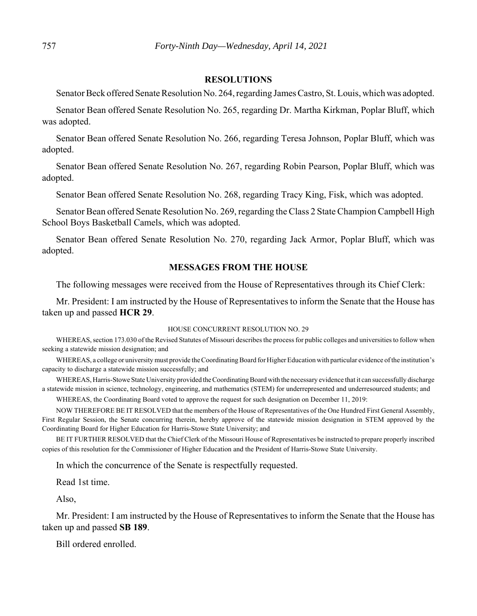#### **RESOLUTIONS**

Senator Beck offered Senate Resolution No. 264, regarding James Castro, St. Louis, which was adopted.

Senator Bean offered Senate Resolution No. 265, regarding Dr. Martha Kirkman, Poplar Bluff, which was adopted.

Senator Bean offered Senate Resolution No. 266, regarding Teresa Johnson, Poplar Bluff, which was adopted.

Senator Bean offered Senate Resolution No. 267, regarding Robin Pearson, Poplar Bluff, which was adopted.

Senator Bean offered Senate Resolution No. 268, regarding Tracy King, Fisk, which was adopted.

Senator Bean offered Senate Resolution No. 269, regarding the Class 2 State Champion Campbell High School Boys Basketball Camels, which was adopted.

Senator Bean offered Senate Resolution No. 270, regarding Jack Armor, Poplar Bluff, which was adopted.

#### **MESSAGES FROM THE HOUSE**

The following messages were received from the House of Representatives through its Chief Clerk:

Mr. President: I am instructed by the House of Representatives to inform the Senate that the House has taken up and passed **HCR 29**.

#### HOUSE CONCURRENT RESOLUTION NO. 29

WHEREAS, section 173.030 of the Revised Statutes of Missouri describes the process for public colleges and universities to follow when seeking a statewide mission designation; and

WHEREAS, a college or university must provide the Coordinating Board for Higher Education with particular evidence of the institution's capacity to discharge a statewide mission successfully; and

WHEREAS, Harris-Stowe State University provided the Coordinating Board with the necessary evidence that it can successfully discharge a statewide mission in science, technology, engineering, and mathematics (STEM) for underrepresented and underresourced students; and

WHEREAS, the Coordinating Board voted to approve the request for such designation on December 11, 2019:

NOW THEREFORE BE IT RESOLVED that the members of the House of Representatives of the One Hundred First General Assembly, First Regular Session, the Senate concurring therein, hereby approve of the statewide mission designation in STEM approved by the Coordinating Board for Higher Education for Harris-Stowe State University; and

BE IT FURTHER RESOLVED that the Chief Clerk of the Missouri House of Representatives be instructed to prepare properly inscribed copies of this resolution for the Commissioner of Higher Education and the President of Harris-Stowe State University.

In which the concurrence of the Senate is respectfully requested.

Read 1st time.

Also,

Mr. President: I am instructed by the House of Representatives to inform the Senate that the House has taken up and passed **SB 189**.

Bill ordered enrolled.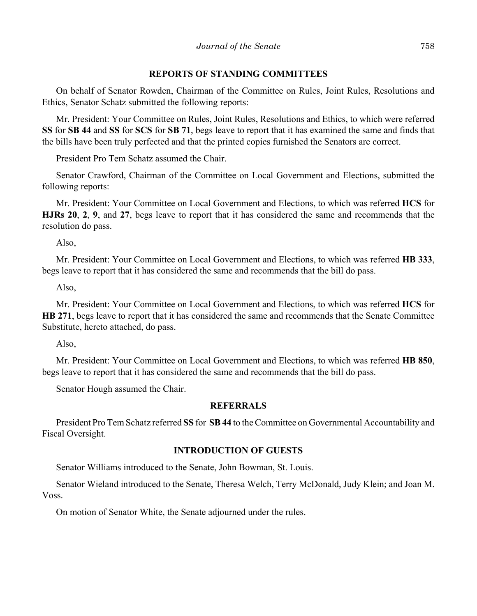#### **REPORTS OF STANDING COMMITTEES**

On behalf of Senator Rowden, Chairman of the Committee on Rules, Joint Rules, Resolutions and Ethics, Senator Schatz submitted the following reports:

Mr. President: Your Committee on Rules, Joint Rules, Resolutions and Ethics, to which were referred **SS** for **SB 44** and **SS** for **SCS** for **SB 71**, begs leave to report that it has examined the same and finds that the bills have been truly perfected and that the printed copies furnished the Senators are correct.

President Pro Tem Schatz assumed the Chair.

Senator Crawford, Chairman of the Committee on Local Government and Elections, submitted the following reports:

Mr. President: Your Committee on Local Government and Elections, to which was referred **HCS** for **HJRs 20**, **2**, **9**, and **27**, begs leave to report that it has considered the same and recommends that the resolution do pass.

Also,

Mr. President: Your Committee on Local Government and Elections, to which was referred **HB 333**, begs leave to report that it has considered the same and recommends that the bill do pass.

Also,

Mr. President: Your Committee on Local Government and Elections, to which was referred **HCS** for **HB 271**, begs leave to report that it has considered the same and recommends that the Senate Committee Substitute, hereto attached, do pass.

Also,

Mr. President: Your Committee on Local Government and Elections, to which was referred **HB 850**, begs leave to report that it has considered the same and recommends that the bill do pass.

Senator Hough assumed the Chair.

# **REFERRALS**

President Pro Tem Schatz referred **SS** for **SB 44** to the Committee on Governmental Accountability and Fiscal Oversight.

## **INTRODUCTION OF GUESTS**

Senator Williams introduced to the Senate, John Bowman, St. Louis.

Senator Wieland introduced to the Senate, Theresa Welch, Terry McDonald, Judy Klein; and Joan M. Voss.

On motion of Senator White, the Senate adjourned under the rules.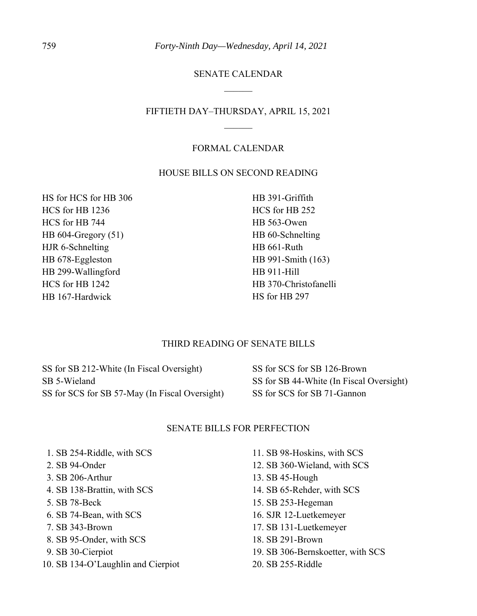## SENATE CALENDAR

## FIFTIETH DAY–THURSDAY, APRIL 15, 2021

#### FORMAL CALENDAR

### HOUSE BILLS ON SECOND READING

HS for HCS for HB 306 HCS for HB 1236 HCS for HB 744 HB 604-Gregory (51) HJR 6-Schnelting HB 678-Eggleston HB 299-Wallingford HCS for HB 1242 HB 167-Hardwick

HB 391-Griffith HCS for HB 252 HB 563-Owen HB 60-Schnelting HB 661-Ruth HB 991-Smith (163) HB 911-Hill HB 370-Christofanelli HS for HB 297

## THIRD READING OF SENATE BILLS

SS for SB 212-White (In Fiscal Oversight) SB 5-Wieland SS for SCS for SB 57-May (In Fiscal Oversight)

SS for SCS for SB 126-Brown SS for SB 44-White (In Fiscal Oversight) SS for SCS for SB 71-Gannon

## SENATE BILLS FOR PERFECTION

- 1. SB 254-Riddle, with SCS
- 2. SB 94-Onder
- 3. SB 206-Arthur
- 4. SB 138-Brattin, with SCS
- 5. SB 78-Beck
- 6. SB 74-Bean, with SCS
- 7. SB 343-Brown
- 8. SB 95-Onder, with SCS
- 9. SB 30-Cierpiot
- 10. SB 134-O'Laughlin and Cierpiot
- 11. SB 98-Hoskins, with SCS
- 12. SB 360-Wieland, with SCS
- 13. SB 45-Hough
- 14. SB 65-Rehder, with SCS
- 15. SB 253-Hegeman
- 16. SJR 12-Luetkemeyer
- 17. SB 131-Luetkemeyer
- 18. SB 291-Brown
- 19. SB 306-Bernskoetter, with SCS
- 20. SB 255-Riddle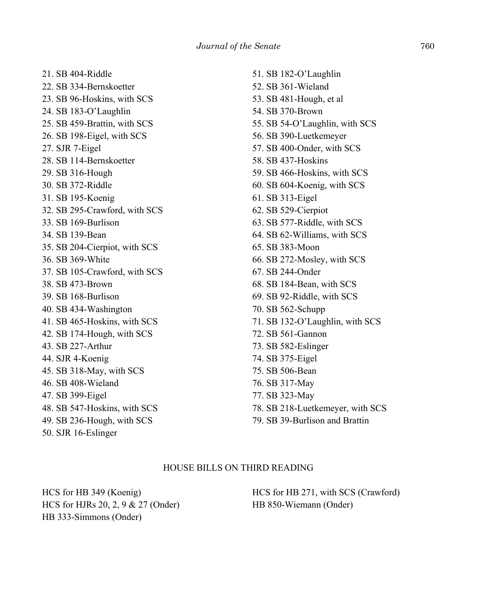21. SB 404-Riddle 22. SB 334-Bernskoetter 23. SB 96-Hoskins, with SCS 24. SB 183-O'Laughlin 25. SB 459-Brattin, with SCS 26. SB 198-Eigel, with SCS 27. SJR 7-Eigel 28. SB 114-Bernskoetter 29. SB 316-Hough 30. SB 372-Riddle 31. SB 195-Koenig 32. SB 295-Crawford, with SCS 33. SB 169-Burlison 34. SB 139-Bean 35. SB 204-Cierpiot, with SCS 36. SB 369-White 37. SB 105-Crawford, with SCS 38. SB 473-Brown 39. SB 168-Burlison 40. SB 434-Washington 41. SB 465-Hoskins, with SCS 42. SB 174-Hough, with SCS 43. SB 227-Arthur 44. SJR 4-Koenig 45. SB 318-May, with SCS 46. SB 408-Wieland 47. SB 399-Eigel 48. SB 547-Hoskins, with SCS 49. SB 236-Hough, with SCS 50. SJR 16-Eslinger

51. SB 182-O'Laughlin 52. SB 361-Wieland 53. SB 481-Hough, et al 54. SB 370-Brown 55. SB 54-O'Laughlin, with SCS 56. SB 390-Luetkemeyer 57. SB 400-Onder, with SCS 58. SB 437-Hoskins 59. SB 466-Hoskins, with SCS 60. SB 604-Koenig, with SCS 61. SB 313-Eigel 62. SB 529-Cierpiot 63. SB 577-Riddle, with SCS 64. SB 62-Williams, with SCS 65. SB 383-Moon 66. SB 272-Mosley, with SCS 67. SB 244-Onder 68. SB 184-Bean, with SCS 69. SB 92-Riddle, with SCS 70. SB 562-Schupp 71. SB 132-O'Laughlin, with SCS 72. SB 561-Gannon 73. SB 582-Eslinger 74. SB 375-Eigel 75. SB 506-Bean 76. SB 317-May 77. SB 323-May 78. SB 218-Luetkemeyer, with SCS 79. SB 39-Burlison and Brattin

## HOUSE BILLS ON THIRD READING

HCS for HB 349 (Koenig) HCS for HJRs 20, 2, 9 & 27 (Onder) HB 333-Simmons (Onder)

HCS for HB 271, with SCS (Crawford) HB 850-Wiemann (Onder)